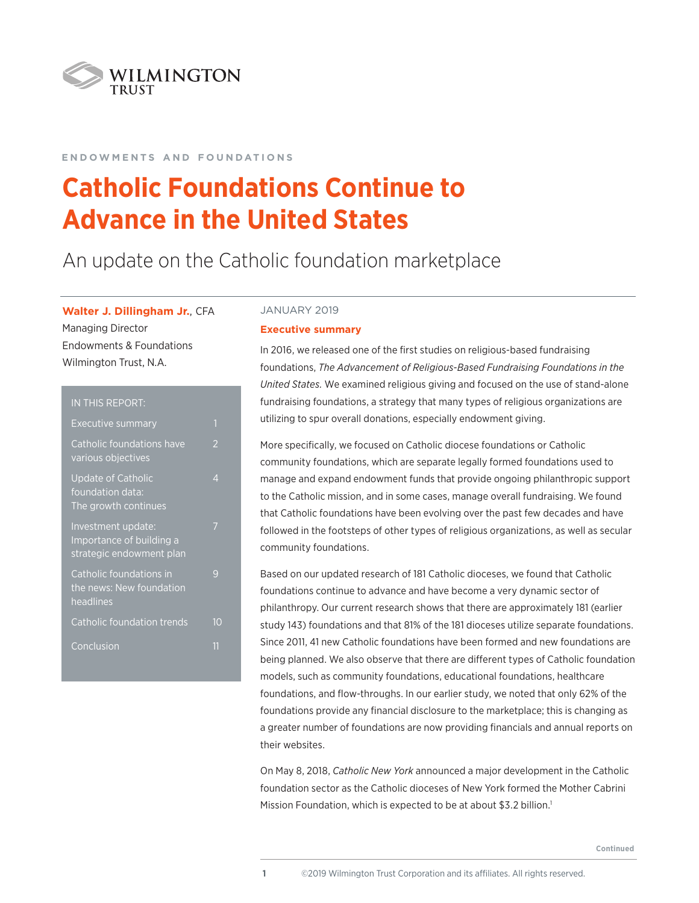

## **e n d o w m e n t s a n d f o u n d at i o n s**

# **Catholic Foundations Continue to Advance in the United States**

## An update on the Catholic foundation marketplace

**Walter J. Dillingham Jr.**, CFA Managing Director Endowments & Foundations Wilmington Trust, N.A.

| IN THIS REPORT:                                                            |                          |
|----------------------------------------------------------------------------|--------------------------|
| Executive summary                                                          | 1                        |
| Catholic foundations have<br>various objectives                            | $\overline{\mathcal{L}}$ |
| <b>Update of Catholic</b><br>foundation data:<br>The growth continues      | 4                        |
| Investment update:<br>Importance of building a<br>strategic endowment plan |                          |
| Catholic foundations in<br>the news: New foundation<br>headlines           | q                        |
| Catholic foundation trends                                                 |                          |
| Conclusion                                                                 | 11                       |

## JANUARY 2019

#### **Executive summary**

In 2016, we released one of the first studies on religious-based fundraising foundations, *The Advancement of Religious-Based Fundraising Foundations in the United States.* We examined religious giving and focused on the use of stand-alone fundraising foundations, a strategy that many types of religious organizations are utilizing to spur overall donations, especially endowment giving.

More specifically, we focused on Catholic diocese foundations or Catholic community foundations, which are separate legally formed foundations used to manage and expand endowment funds that provide ongoing philanthropic support to the Catholic mission, and in some cases, manage overall fundraising. We found that Catholic foundations have been evolving over the past few decades and have followed in the footsteps of other types of religious organizations, as well as secular community foundations.

Based on our updated research of 181 Catholic dioceses, we found that Catholic foundations continue to advance and have become a very dynamic sector of philanthropy. Our current research shows that there are approximately 181 (earlier study 143) foundations and that 81% of the 181 dioceses utilize separate foundations. Since 2011, 41 new Catholic foundations have been formed and new foundations are being planned. We also observe that there are different types of Catholic foundation models, such as community foundations, educational foundations, healthcare foundations, and flow-throughs. In our earlier study, we noted that only 62% of the foundations provide any financial disclosure to the marketplace; this is changing as a greater number of foundations are now providing financials and annual reports on their websites.

On May 8, 2018, *Catholic New York* announced a major development in the Catholic foundation sector as the Catholic dioceses of New York formed the Mother Cabrini Mission Foundation, which is expected to be at about \$3.2 billion.<sup>1</sup>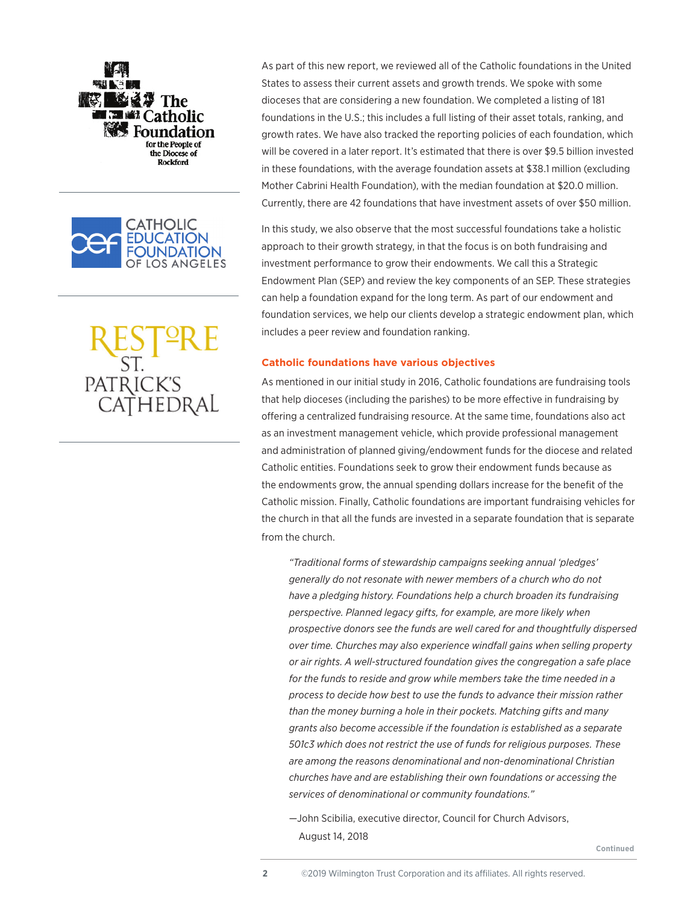



PATRICK'S<br>CATHEDRAL

As part of this new report, we reviewed all of the Catholic foundations in the United States to assess their current assets and growth trends. We spoke with some dioceses that are considering a new foundation. We completed a listing of 181 foundations in the U.S.; this includes a full listing of their asset totals, ranking, and growth rates. We have also tracked the reporting policies of each foundation, which will be covered in a later report. It's estimated that there is over \$9.5 billion invested in these foundations, with the average foundation assets at \$38.1 million (excluding Mother Cabrini Health Foundation), with the median foundation at \$20.0 million. Currently, there are 42 foundations that have investment assets of over \$50 million.

In this study, we also observe that the most successful foundations take a holistic approach to their growth strategy, in that the focus is on both fundraising and investment performance to grow their endowments. We call this a Strategic Endowment Plan (SEP) and review the key components of an SEP. These strategies can help a foundation expand for the long term. As part of our endowment and foundation services, we help our clients develop a strategic endowment plan, which includes a peer review and foundation ranking.

## **Catholic foundations have various objectives**

As mentioned in our initial study in 2016, Catholic foundations are fundraising tools that help dioceses (including the parishes) to be more effective in fundraising by offering a centralized fundraising resource. At the same time, foundations also act as an investment management vehicle, which provide professional management and administration of planned giving/endowment funds for the diocese and related Catholic entities. Foundations seek to grow their endowment funds because as the endowments grow, the annual spending dollars increase for the benefit of the Catholic mission. Finally, Catholic foundations are important fundraising vehicles for the church in that all the funds are invested in a separate foundation that is separate from the church.

*"Traditional forms of stewardship campaigns seeking annual 'pledges' generally do not resonate with newer members of a church who do not have a pledging history. Foundations help a church broaden its fundraising perspective. Planned legacy gifts, for example, are more likely when prospective donors see the funds are well cared for and thoughtfully dispersed over time. Churches may also experience windfall gains when selling property or air rights. A well-structured foundation gives the congregation a safe place for the funds to reside and grow while members take the time needed in a process to decide how best to use the funds to advance their mission rather than the money burning a hole in their pockets. Matching gifts and many grants also become accessible if the foundation is established as a separate 501c3 which does not restrict the use of funds for religious purposes. These are among the reasons denominational and non-denominational Christian churches have and are establishing their own foundations or accessing the services of denominational or community foundations."*

—John Scibilia, executive director, Council for Church Advisors, August 14, 2018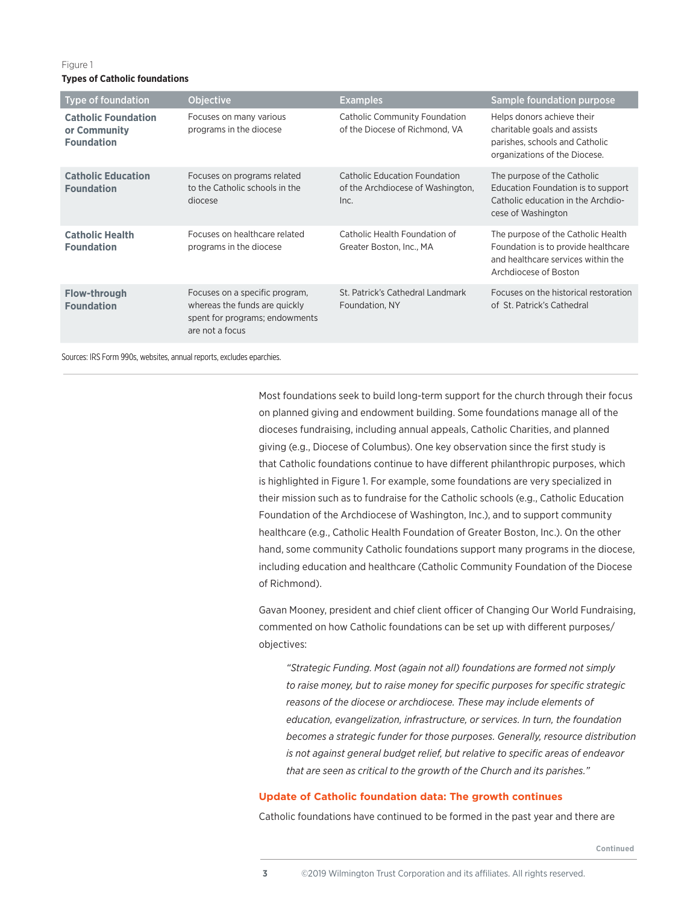### **Types of Catholic foundations**

| <b>Type of foundation</b>                                       | <b>Objective</b>                                                                                                     | <b>Examples</b>                                                            | Sample foundation purpose                                                                                                                |
|-----------------------------------------------------------------|----------------------------------------------------------------------------------------------------------------------|----------------------------------------------------------------------------|------------------------------------------------------------------------------------------------------------------------------------------|
| <b>Catholic Foundation</b><br>or Community<br><b>Foundation</b> | Focuses on many various<br>programs in the diocese                                                                   | <b>Catholic Community Foundation</b><br>of the Diocese of Richmond, VA     | Helps donors achieve their<br>charitable goals and assists<br>parishes, schools and Catholic<br>organizations of the Diocese.            |
| <b>Catholic Education</b><br><b>Foundation</b>                  | Focuses on programs related<br>to the Catholic schools in the<br>diocese                                             | Catholic Education Foundation<br>of the Archdiocese of Washington,<br>Inc. | The purpose of the Catholic<br>Education Foundation is to support<br>Catholic education in the Archdio-<br>cese of Washington            |
| <b>Catholic Health</b><br><b>Foundation</b>                     | Focuses on healthcare related<br>programs in the diocese                                                             | Catholic Health Foundation of<br>Greater Boston, Inc., MA                  | The purpose of the Catholic Health<br>Foundation is to provide healthcare<br>and healthcare services within the<br>Archdiocese of Boston |
| <b>Flow-through</b><br><b>Foundation</b>                        | Focuses on a specific program,<br>whereas the funds are quickly<br>spent for programs; endowments<br>are not a focus | St. Patrick's Cathedral Landmark<br>Foundation, NY                         | Focuses on the historical restoration<br>of St. Patrick's Cathedral                                                                      |

Sources: IRS Form 990s, websites, annual reports, excludes eparchies.

Most foundations seek to build long-term support for the church through their focus on planned giving and endowment building. Some foundations manage all of the dioceses fundraising, including annual appeals, Catholic Charities, and planned giving (e.g., Diocese of Columbus). One key observation since the first study is that Catholic foundations continue to have different philanthropic purposes, which is highlighted in Figure 1. For example, some foundations are very specialized in their mission such as to fundraise for the Catholic schools (e.g., Catholic Education Foundation of the Archdiocese of Washington, Inc.), and to support community healthcare (e.g., Catholic Health Foundation of Greater Boston, Inc.). On the other hand, some community Catholic foundations support many programs in the diocese, including education and healthcare (Catholic Community Foundation of the Diocese of Richmond).

Gavan Mooney, president and chief client officer of Changing Our World Fundraising, commented on how Catholic foundations can be set up with different purposes/ objectives:

*"Strategic Funding. Most (again not all) foundations are formed not simply to raise money, but to raise money for specific purposes for specific strategic reasons of the diocese or archdiocese. These may include elements of education, evangelization, infrastructure, or services. In turn, the foundation becomes a strategic funder for those purposes. Generally, resource distribution is not against general budget relief, but relative to specific areas of endeavor that are seen as critical to the growth of the Church and its parishes."*

## **Update of Catholic foundation data: The growth continues**

Catholic foundations have continued to be formed in the past year and there are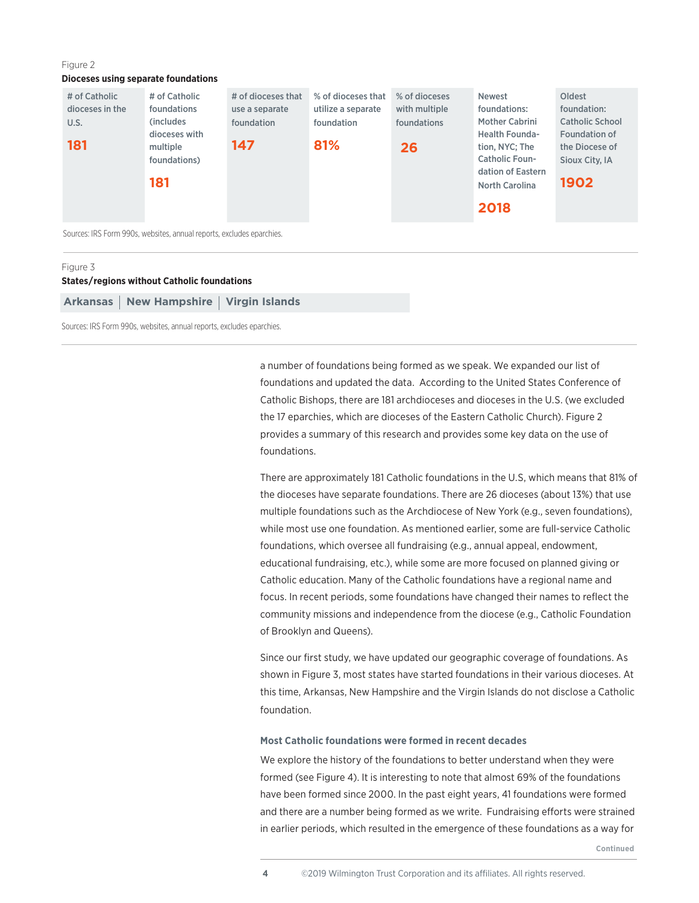#### **Dioceses using separate foundations**

| # of Catholic<br>dioceses in the | # of Catholic<br>foundations            | # of dioceses that<br>use a separate | % of dioceses that<br>utilize a separate | % of dioceses<br>with multiple | <b>Newest</b><br>foundations:                                       | Oldest<br>foundation:                                     |
|----------------------------------|-----------------------------------------|--------------------------------------|------------------------------------------|--------------------------------|---------------------------------------------------------------------|-----------------------------------------------------------|
| U.S.<br>181                      | (includes)<br>dioceses with<br>multiple | foundation<br>147                    | foundation<br>81%                        | foundations<br>26              | <b>Mother Cabrini</b><br><b>Health Founda-</b><br>tion, NYC; The    | <b>Catholic School</b><br>Foundation of<br>the Diocese of |
|                                  | foundations)<br>181                     |                                      |                                          |                                | <b>Catholic Foun-</b><br>dation of Eastern<br><b>North Carolina</b> | Sioux City, IA<br>1902                                    |
|                                  |                                         |                                      |                                          |                                | 2018                                                                |                                                           |

Sources: IRS Form 990s, websites, annual reports, excludes eparchies.

#### Figure 3

## **States/regions without Catholic foundations**

Arkansas | New Hampshire | Virgin Islands

Sources: IRS Form 990s, websites, annual reports, excludes eparchies.

a number of foundations being formed as we speak. We expanded our list of foundations and updated the data. According to the United States Conference of Catholic Bishops, there are 181 archdioceses and dioceses in the U.S. (we excluded the 17 eparchies, which are dioceses of the Eastern Catholic Church). Figure 2 provides a summary of this research and provides some key data on the use of foundations.

There are approximately 181 Catholic foundations in the U.S, which means that 81% of the dioceses have separate foundations. There are 26 dioceses (about 13%) that use multiple foundations such as the Archdiocese of New York (e.g., seven foundations), while most use one foundation. As mentioned earlier, some are full-service Catholic foundations, which oversee all fundraising (e.g., annual appeal, endowment, educational fundraising, etc.), while some are more focused on planned giving or Catholic education. Many of the Catholic foundations have a regional name and focus. In recent periods, some foundations have changed their names to reflect the community missions and independence from the diocese (e.g., Catholic Foundation of Brooklyn and Queens).

Since our first study, we have updated our geographic coverage of foundations. As shown in Figure 3, most states have started foundations in their various dioceses. At this time, Arkansas, New Hampshire and the Virgin Islands do not disclose a Catholic foundation.

#### **Most Catholic foundations were formed in recent decades**

We explore the history of the foundations to better understand when they were formed (see Figure 4). It is interesting to note that almost 69% of the foundations have been formed since 2000. In the past eight years, 41 foundations were formed and there are a number being formed as we write. Fundraising efforts were strained in earlier periods, which resulted in the emergence of these foundations as a way for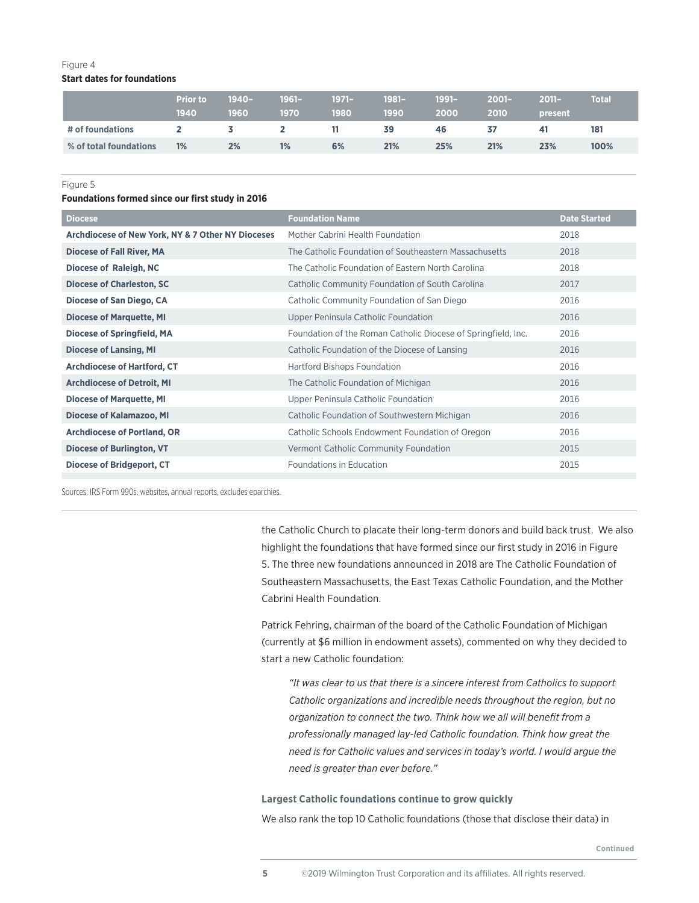## **Start dates for foundations**

|                        | <b>Prior to</b><br>1940 | $1940 -$<br>1960 | $1961 -$<br>1970 | $1971 -$<br>1980 | $1981 -$<br>1990 | 1991-<br>2000 | $2001 -$<br>2010 | $2011 -$<br>present | <b>Total</b> |
|------------------------|-------------------------|------------------|------------------|------------------|------------------|---------------|------------------|---------------------|--------------|
| # of foundations       | $2^{\circ}$             | $\sim$ 3         | $\mathbf{2}$     | 11               | 39               | 46            | 37               | 41                  | 181          |
| % of total foundations | 1%                      | 2%               | 1%               | 6%               | 21%              | 25%           | 21%              | 23%                 | 100%         |

#### Figure 5

#### **Foundations formed since our first study in 2016**

| <b>Foundation Name</b>                                        | <b>Date Started</b> |
|---------------------------------------------------------------|---------------------|
| Mother Cabrini Health Foundation                              | 2018                |
| The Catholic Foundation of Southeastern Massachusetts         | 2018                |
| The Catholic Foundation of Eastern North Carolina             | 2018                |
| Catholic Community Foundation of South Carolina               | 2017                |
| Catholic Community Foundation of San Diego                    | 2016                |
| Upper Peninsula Catholic Foundation                           | 2016                |
| Foundation of the Roman Catholic Diocese of Springfield, Inc. | 2016                |
| Catholic Foundation of the Diocese of Lansing                 | 2016                |
| Hartford Bishops Foundation                                   | 2016                |
| The Catholic Foundation of Michigan                           | 2016                |
| Upper Peninsula Catholic Foundation                           | 2016                |
| Catholic Foundation of Southwestern Michigan                  | 2016                |
| Catholic Schools Endowment Foundation of Oregon               | 2016                |
| Vermont Catholic Community Foundation                         | 2015                |
| Foundations in Education                                      | 2015                |
|                                                               |                     |

Sources: IRS Form 990s, websites, annual reports, excludes eparchies.

the Catholic Church to placate their long-term donors and build back trust. We also highlight the foundations that have formed since our first study in 2016 in Figure 5. The three new foundations announced in 2018 are The Catholic Foundation of Southeastern Massachusetts, the East Texas Catholic Foundation, and the Mother Cabrini Health Foundation.

Patrick Fehring, chairman of the board of the Catholic Foundation of Michigan (currently at \$6 million in endowment assets), commented on why they decided to start a new Catholic foundation:

*"It was clear to us that there is a sincere interest from Catholics to support Catholic organizations and incredible needs throughout the region, but no organization to connect the two. Think how we all will benefit from a professionally managed lay-led Catholic foundation. Think how great the need is for Catholic values and services in today's world. I would argue the need is greater than ever before."*

#### **Largest Catholic foundations continue to grow quickly**

We also rank the top 10 Catholic foundations (those that disclose their data) in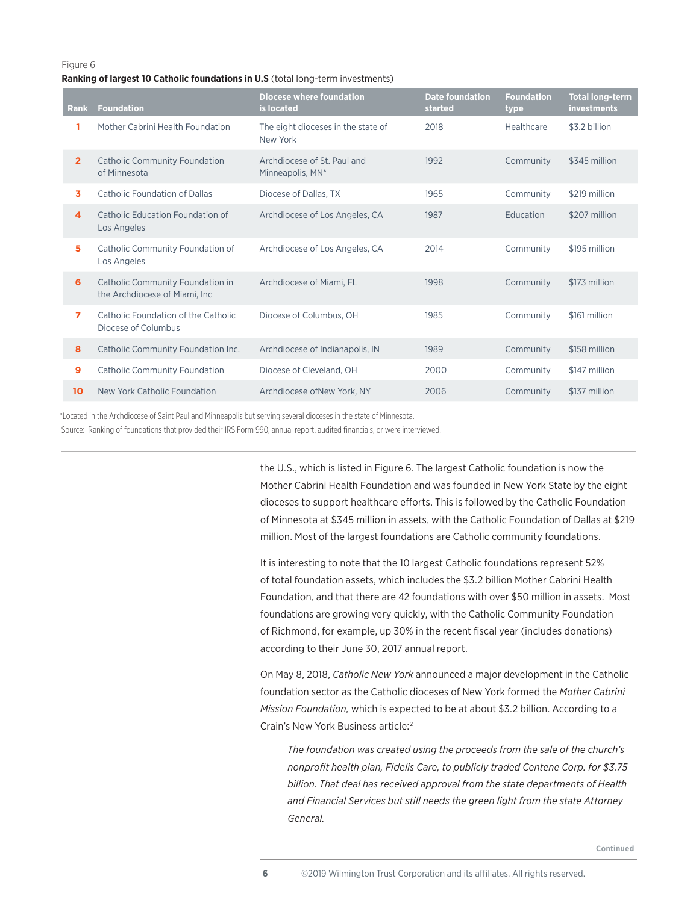#### **Ranking of largest 10 Catholic foundations in U.S** (total long-term investments)

| <b>Rank</b>             | <b>Foundation</b>                                                  | <b>Diocese where foundation</b><br>is located   | <b>Date foundation</b><br>started | <b>Foundation</b><br>type | <b>Total long-term</b><br><b>investments</b> |
|-------------------------|--------------------------------------------------------------------|-------------------------------------------------|-----------------------------------|---------------------------|----------------------------------------------|
|                         | Mother Cabrini Health Foundation                                   | The eight dioceses in the state of<br>New York  | 2018                              | Healthcare                | \$3.2 billion                                |
| $\overline{2}$          | <b>Catholic Community Foundation</b><br>of Minnesota               | Archdiocese of St. Paul and<br>Minneapolis, MN* | 1992                              | Community                 | \$345 million                                |
| 3.                      | Catholic Foundation of Dallas                                      | Diocese of Dallas, TX                           | 1965                              | Community                 | \$219 million                                |
| $\overline{\mathbf{4}}$ | Catholic Education Foundation of<br>Los Angeles                    | Archdiocese of Los Angeles, CA                  | 1987                              | Education                 | \$207 million                                |
| 5                       | Catholic Community Foundation of<br>Los Angeles                    | Archdiocese of Los Angeles, CA                  | 2014                              | Community                 | \$195 million                                |
| 6                       | Catholic Community Foundation in<br>the Archdiocese of Miami, Inc. | Archdiocese of Miami, FL                        | 1998                              | Community                 | \$173 million                                |
| $\overline{7}$          | Catholic Foundation of the Catholic<br>Diocese of Columbus         | Diocese of Columbus, OH                         | 1985                              | Community                 | \$161 million                                |
| 8                       | Catholic Community Foundation Inc.                                 | Archdiocese of Indianapolis, IN                 | 1989                              | Community                 | \$158 million                                |
| 9                       | <b>Catholic Community Foundation</b>                               | Diocese of Cleveland, OH                        | 2000                              | Community                 | \$147 million                                |
| 10 <sup>2</sup>         | New York Catholic Foundation                                       | Archdiocese of New York, NY                     | 2006                              | Community                 | \$137 million                                |

\*Located in the Archdiocese of Saint Paul and Minneapolis but serving several dioceses in the state of Minnesota.

Source: Ranking of foundations that provided their IRS Form 990, annual report, audited financials, or were interviewed.

the U.S., which is listed in Figure 6. The largest Catholic foundation is now the Mother Cabrini Health Foundation and was founded in New York State by the eight dioceses to support healthcare efforts. This is followed by the Catholic Foundation of Minnesota at \$345 million in assets, with the Catholic Foundation of Dallas at \$219 million. Most of the largest foundations are Catholic community foundations.

It is interesting to note that the 10 largest Catholic foundations represent 52% of total foundation assets, which includes the \$3.2 billion Mother Cabrini Health Foundation, and that there are 42 foundations with over \$50 million in assets. Most foundations are growing very quickly, with the Catholic Community Foundation of Richmond, for example, up 30% in the recent fiscal year (includes donations) according to their June 30, 2017 annual report.

On May 8, 2018, *Catholic New York* announced a major development in the Catholic foundation sector as the Catholic dioceses of New York formed the *Mother Cabrini Mission Foundation,* which is expected to be at about \$3.2 billion. According to a Crain's New York Business article:2

*The foundation was created using the proceeds from the sale of the church's nonprofit health plan, Fidelis Care, to publicly traded Centene Corp. for \$3.75 billion. That deal has received approval from the state departments of Health and Financial Services but still needs the green light from the state Attorney General.*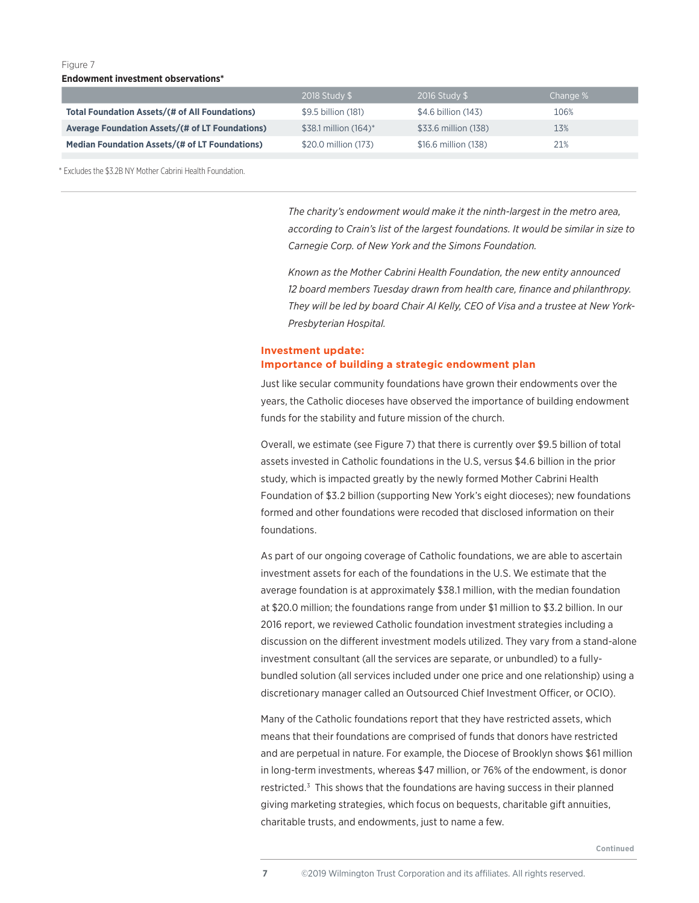**Endowment investment observations\***

|                                                        | 2018 Study \$         | 2016 Study \$        | Change % |
|--------------------------------------------------------|-----------------------|----------------------|----------|
| Total Foundation Assets/(# of All Foundations)         | \$9.5 billion (181)   | \$4.6 billion (143)  | 106%     |
| <b>Average Foundation Assets/(# of LT Foundations)</b> | \$38.1 million (164)* | \$33.6 million (138) | 13%      |
| <b>Median Foundation Assets/(# of LT Foundations)</b>  | \$20.0 million (173)  | \$16.6 million (138) | 21%      |

\* Excludes the \$3.2B NY Mother Cabrini Health Foundation.

*The charity's endowment would make it the ninth-largest in the metro area, according to Crain's list of the largest foundations. It would be similar in size to Carnegie Corp. of New York and the Simons Foundation.*

*Known as the Mother Cabrini Health Foundation, the new entity announced 12 board members Tuesday drawn from health care, finance and philanthropy. They will be led by board Chair Al Kelly, CEO of Visa and a trustee at New York-Presbyterian Hospital.*

## **Investment update: Importance of building a strategic endowment plan**

Just like secular community foundations have grown their endowments over the years, the Catholic dioceses have observed the importance of building endowment funds for the stability and future mission of the church.

Overall, we estimate (see Figure 7) that there is currently over \$9.5 billion of total assets invested in Catholic foundations in the U.S, versus \$4.6 billion in the prior study, which is impacted greatly by the newly formed Mother Cabrini Health Foundation of \$3.2 billion (supporting New York's eight dioceses); new foundations formed and other foundations were recoded that disclosed information on their foundations.

As part of our ongoing coverage of Catholic foundations, we are able to ascertain investment assets for each of the foundations in the U.S. We estimate that the average foundation is at approximately \$38.1 million, with the median foundation at \$20.0 million; the foundations range from under \$1 million to \$3.2 billion. In our 2016 report, we reviewed Catholic foundation investment strategies including a discussion on the different investment models utilized. They vary from a stand-alone investment consultant (all the services are separate, or unbundled) to a fullybundled solution (all services included under one price and one relationship) using a discretionary manager called an Outsourced Chief Investment Officer, or OCIO).

Many of the Catholic foundations report that they have restricted assets, which means that their foundations are comprised of funds that donors have restricted and are perpetual in nature. For example, the Diocese of Brooklyn shows \$61 million in long-term investments, whereas \$47 million, or 76% of the endowment, is donor restricted.<sup>3</sup> This shows that the foundations are having success in their planned giving marketing strategies, which focus on bequests, charitable gift annuities, charitable trusts, and endowments, just to name a few.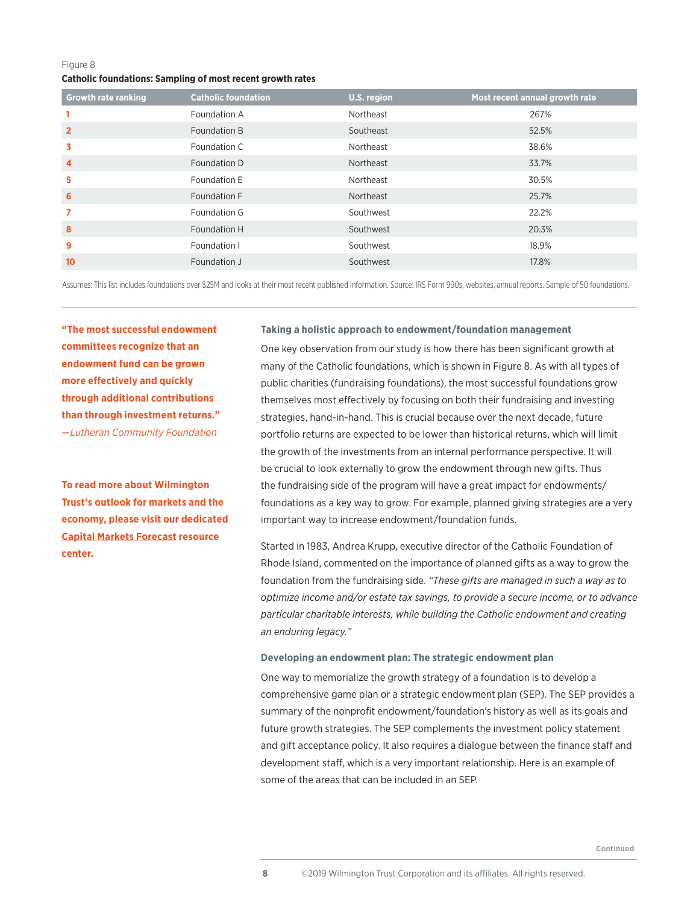## Figure 8 **Catholic foundations: Sampling of most recent growth rates**

| <b>Growth rate ranking</b> | <b>Catholic foundation</b> | U.S. region | Most recent annual growth rate |
|----------------------------|----------------------------|-------------|--------------------------------|
|                            | Foundation A               | Northeast   | 267%                           |
| $\overline{2}$             | Foundation B               | Southeast   | 52.5%                          |
| 3                          | Foundation C               | Northeast   | 38.6%                          |
| $\overline{4}$             | Foundation D               | Northeast   | 33.7%                          |
| 5                          | Foundation E               | Northeast   | 30.5%                          |
| 6                          | Foundation F               | Northeast   | 25.7%                          |
| 7                          | Foundation G               | Southwest   | 22.2%                          |
| 8                          | Foundation H               | Southwest   | 20.3%                          |
| 9                          | Foundation I               | Southwest   | 18.9%                          |
| 10                         | Foundation J               | Southwest   | 17.8%                          |

Assumes: This list includes foundations over \$25M and looks at their most recent published information. Source: IRS Form 990s, websites, annual reports. Sample of 50 foundations.

**"The most successful endowment committees recognize that an endowment fund can be grown more effectively and quickly through additional contributions than through investment returns."**  —*Lutheran Community Foundation*

**To read more about Wilmington Trust's outlook for markets and the economy, please visit our dedicated Capital Markets Forecast resource center.** 

## **Taking a holistic approach to endowment/foundation management**

One key observation from our study is how there has been significant growth at many of the Catholic foundations, which is shown in Figure 8. As with all types of public charities (fundraising foundations), the most successful foundations grow themselves most effectively by focusing on both their fundraising and investing strategies, hand-in-hand. This is crucial because over the next decade, future portfolio returns are expected to be lower than historical returns, which will limit the growth of the investments from an internal performance perspective. It will be crucial to look externally to grow the endowment through new gifts. Thus the fundraising side of the program will have a great impact for endowments/ foundations as a key way to grow. For example, planned giving strategies are a very important way to increase endowment/foundation funds.

Started in 1983, Andrea Krupp, executive director of the Catholic Foundation of Rhode Island, commented on the importance of planned gifts as a way to grow the foundation from the fundraising side. *"These gifts are managed in such a way as to optimize income and/or estate tax savings, to provide a secure income, or to advance particular charitable interests, while building the Catholic endowment and creating an enduring legacy."*

## **Developing an endowment plan: The strategic endowment plan**

One way to memorialize the growth strategy of a foundation is to develop a comprehensive game plan or a strategic endowment plan (SEP). The SEP provides a summary of the nonprofit endowment/foundation's history as well as its goals and future growth strategies. The SEP complements the investment policy statement and gift acceptance policy. It also requires a dialogue between the finance staff and development staff, which is a very important relationship. Here is an example of some of the areas that can be included in an SEP.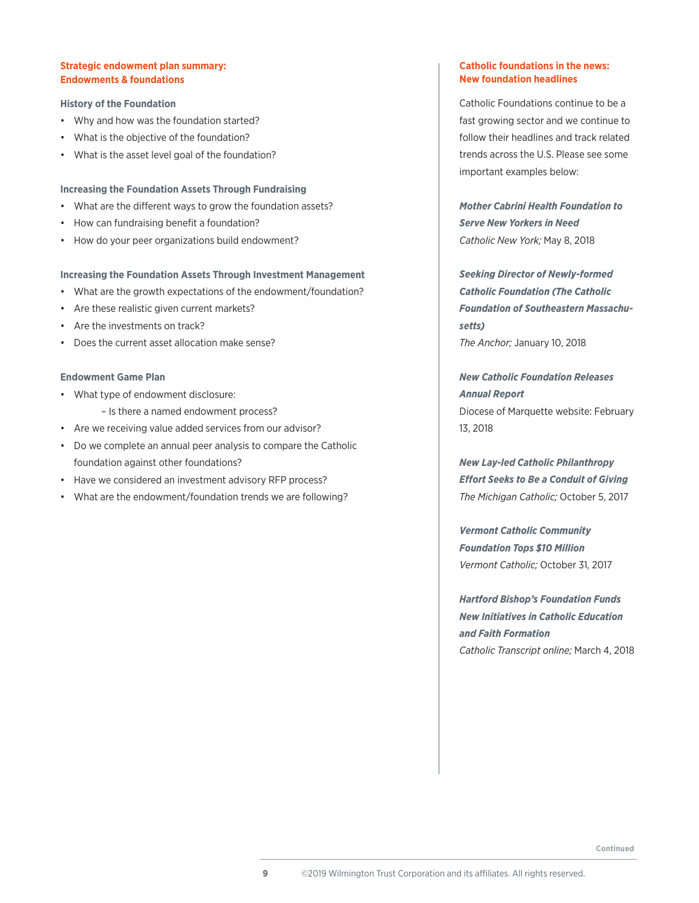## **Strategic endowment plan summary: Endowments & foundations**

## **History of the Foundation**

- Why and how was the foundation started?
- What is the objective of the foundation?
- What is the asset level goal of the foundation?

## **Increasing the Foundation Assets Through Fundraising**

- What are the different ways to grow the foundation assets?
- How can fundraising benefit a foundation?
- How do your peer organizations build endowment?

## **Increasing the Foundation Assets Through Investment Management**

- What are the growth expectations of the endowment/foundation?
- Are these realistic given current markets?
- Are the investments on track?
- Does the current asset allocation make sense?

## **Endowment Game Plan**

- What type of endowment disclosure:
	- Is there a named endowment process?
- Are we receiving value added services from our advisor?
- Do we complete an annual peer analysis to compare the Catholic foundation against other foundations?
- Have we considered an investment advisory RFP process?
- What are the endowment/foundation trends we are following?

## **Catholic foundations in the news: New foundation headlines**

Catholic Foundations continue to be a fast growing sector and we continue to follow their headlines and track related trends across the U.S. Please see some important examples below:

*Mother Cabrini Health Foundation to Serve New Yorkers in Need Catholic New York;* May 8, 2018

*Seeking Director of Newly-formed Catholic Foundation (The Catholic Foundation of Southeastern Massachusetts) The Anchor;* January 10, 2018

*New Catholic Foundation Releases Annual Report* Diocese of Marquette website: February 13, 2018

*New Lay-led Catholic Philanthropy Effort Seeks to Be a Conduit of Giving The Michigan Catholic;* October 5, 2017

*Vermont Catholic Community Foundation Tops \$10 Million Vermont Catholic;* October 31, 2017

*Hartford Bishop's Foundation Funds New Initiatives in Catholic Education and Faith Formation Catholic Transcript online;* March 4, 2018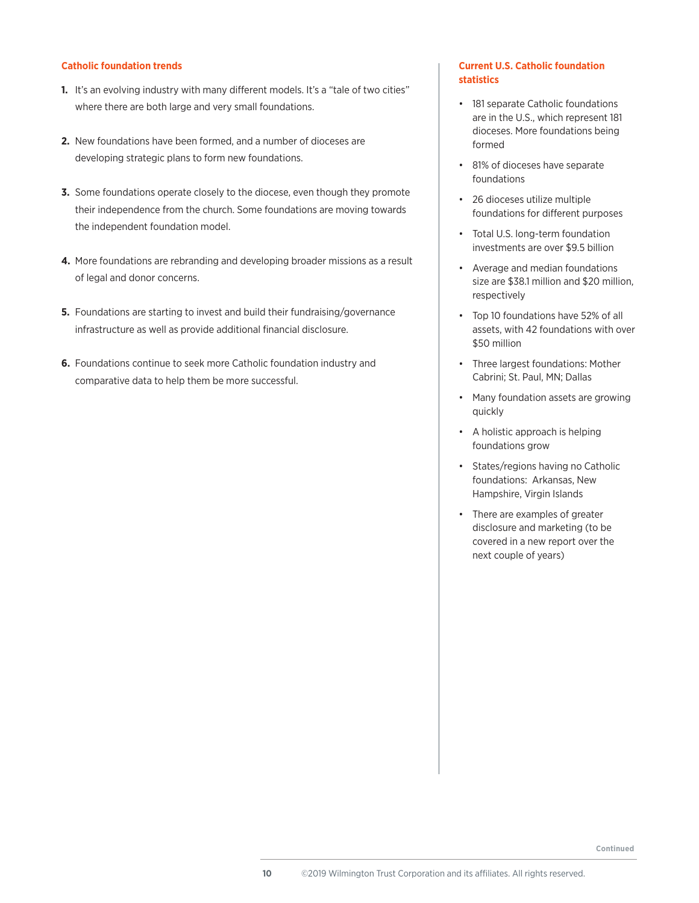## **Catholic foundation trends**

- **1.** It's an evolving industry with many different models. It's a "tale of two cities" where there are both large and very small foundations.
- **2.** New foundations have been formed, and a number of dioceses are developing strategic plans to form new foundations.
- **3.** Some foundations operate closely to the diocese, even though they promote their independence from the church. Some foundations are moving towards the independent foundation model.
- **4.** More foundations are rebranding and developing broader missions as a result of legal and donor concerns.
- **5.** Foundations are starting to invest and build their fundraising/governance infrastructure as well as provide additional financial disclosure.
- **6.** Foundations continue to seek more Catholic foundation industry and comparative data to help them be more successful.

## **Current U.S. Catholic foundation statistics**

- 181 separate Catholic foundations are in the U.S., which represent 181 dioceses. More foundations being formed
- 81% of dioceses have separate foundations
- 26 dioceses utilize multiple foundations for different purposes
- Total U.S. long-term foundation investments are over \$9.5 billion
- Average and median foundations size are \$38.1 million and \$20 million, respectively
- Top 10 foundations have 52% of all assets, with 42 foundations with over \$50 million
- Three largest foundations: Mother Cabrini; St. Paul, MN; Dallas
- Many foundation assets are growing quickly
- A holistic approach is helping foundations grow
- States/regions having no Catholic foundations: Arkansas, New Hampshire, Virgin Islands
- There are examples of greater disclosure and marketing (to be covered in a new report over the next couple of years)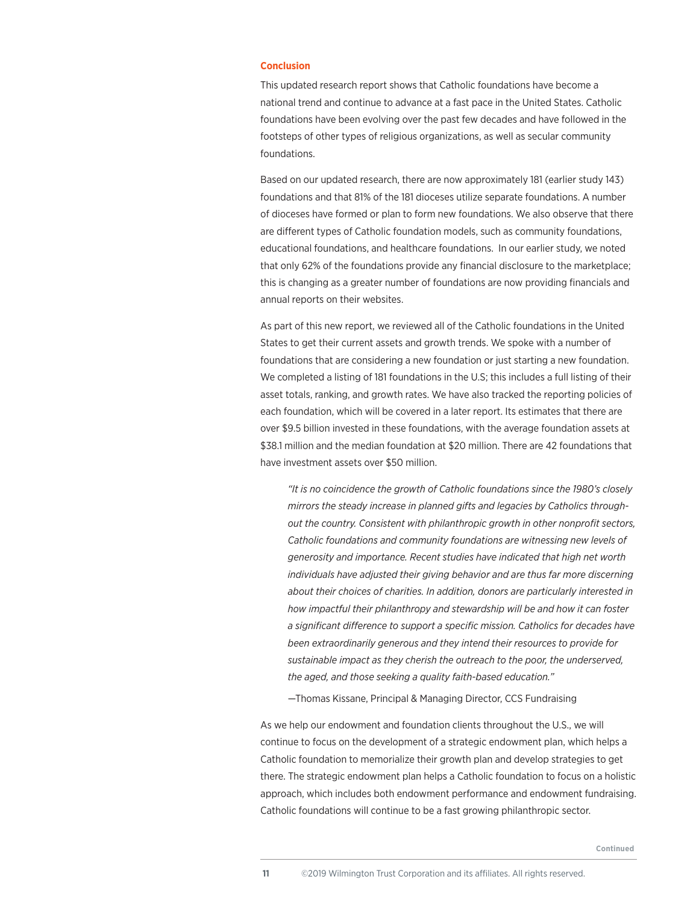#### **Conclusion**

This updated research report shows that Catholic foundations have become a national trend and continue to advance at a fast pace in the United States. Catholic foundations have been evolving over the past few decades and have followed in the footsteps of other types of religious organizations, as well as secular community foundations.

Based on our updated research, there are now approximately 181 (earlier study 143) foundations and that 81% of the 181 dioceses utilize separate foundations. A number of dioceses have formed or plan to form new foundations. We also observe that there are different types of Catholic foundation models, such as community foundations, educational foundations, and healthcare foundations. In our earlier study, we noted that only 62% of the foundations provide any financial disclosure to the marketplace; this is changing as a greater number of foundations are now providing financials and annual reports on their websites.

As part of this new report, we reviewed all of the Catholic foundations in the United States to get their current assets and growth trends. We spoke with a number of foundations that are considering a new foundation or just starting a new foundation. We completed a listing of 181 foundations in the U.S; this includes a full listing of their asset totals, ranking, and growth rates. We have also tracked the reporting policies of each foundation, which will be covered in a later report. Its estimates that there are over \$9.5 billion invested in these foundations, with the average foundation assets at \$38.1 million and the median foundation at \$20 million. There are 42 foundations that have investment assets over \$50 million.

*"It is no coincidence the growth of Catholic foundations since the 1980's closely mirrors the steady increase in planned gifts and legacies by Catholics throughout the country. Consistent with philanthropic growth in other nonprofit sectors, Catholic foundations and community foundations are witnessing new levels of generosity and importance. Recent studies have indicated that high net worth individuals have adjusted their giving behavior and are thus far more discerning about their choices of charities. In addition, donors are particularly interested in how impactful their philanthropy and stewardship will be and how it can foster a significant difference to support a specific mission. Catholics for decades have been extraordinarily generous and they intend their resources to provide for sustainable impact as they cherish the outreach to the poor, the underserved, the aged, and those seeking a quality faith-based education."* 

—Thomas Kissane, Principal & Managing Director, CCS Fundraising

As we help our endowment and foundation clients throughout the U.S., we will continue to focus on the development of a strategic endowment plan, which helps a Catholic foundation to memorialize their growth plan and develop strategies to get there. The strategic endowment plan helps a Catholic foundation to focus on a holistic approach, which includes both endowment performance and endowment fundraising. Catholic foundations will continue to be a fast growing philanthropic sector.